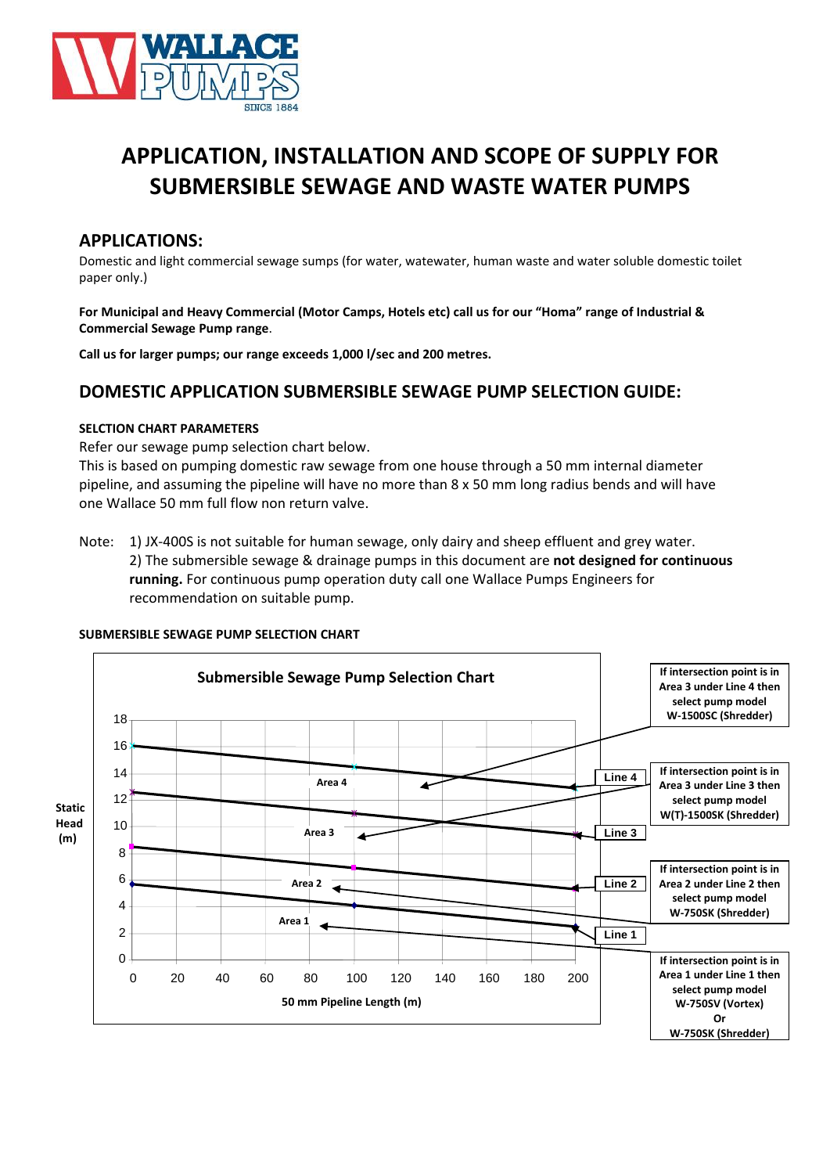

# **APPLICATION, INSTALLATION AND SCOPE OF SUPPLY FOR SUBMERSIBLE SEWAGE AND WASTE WATER PUMPS**

### **APPLICATIONS:**

Domestic and light commercial sewage sumps (for water, watewater, human waste and water soluble domestic toilet paper only.)

**For Municipal and Heavy Commercial (Motor Camps, Hotels etc) call us for our "Homa" range of Industrial & Commercial Sewage Pump range**.

**Call us for larger pumps; our range exceeds 1,000 l/sec and 200 metres.**

# **DOMESTIC APPLICATION SUBMERSIBLE SEWAGE PUMP SELECTION GUIDE:**

### **SELCTION CHART PARAMETERS**

Refer our sewage pump selection chart below.

This is based on pumping domestic raw sewage from one house through a 50 mm internal diameter pipeline, and assuming the pipeline will have no more than 8 x 50 mm long radius bends and will have one Wallace 50 mm full flow non return valve.

Note: 1) JX-400S is not suitable for human sewage, only dairy and sheep effluent and grey water. 2) The submersible sewage & drainage pumps in this document are **not designed for continuous running.** For continuous pump operation duty call one Wallace Pumps Engineers for recommendation on suitable pump.

### **SUBMERSIBLE SEWAGE PUMP SELECTION CHART**

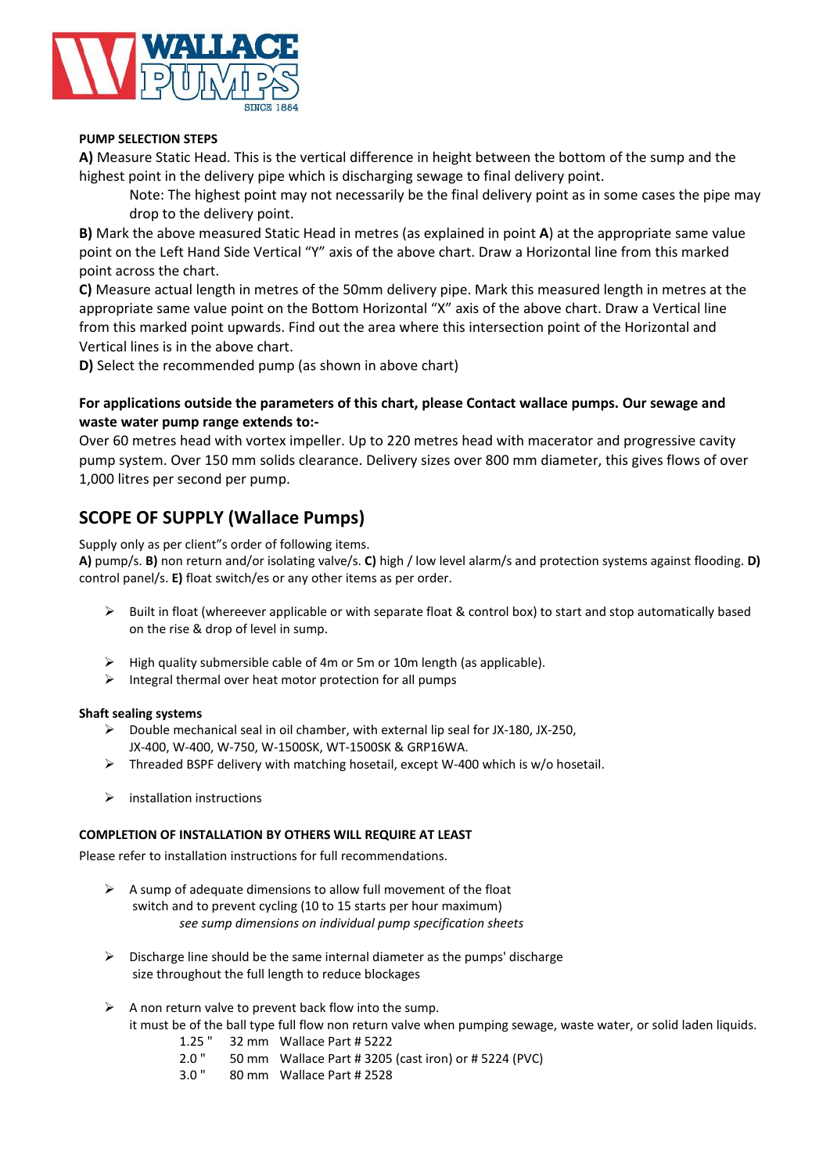

### **PUMP SELECTION STEPS**

**A)** Measure Static Head. This is the vertical difference in height between the bottom of the sump and the highest point in the delivery pipe which is discharging sewage to final delivery point.

Note: The highest point may not necessarily be the final delivery point as in some cases the pipe may drop to the delivery point.

**B)** Mark the above measured Static Head in metres (as explained in point **A**) at the appropriate same value point on the Left Hand Side Vertical "Y" axis of the above chart. Draw a Horizontal line from this marked point across the chart.

**C)** Measure actual length in metres of the 50mm delivery pipe. Mark this measured length in metres at the appropriate same value point on the Bottom Horizontal "X" axis of the above chart. Draw a Vertical line from this marked point upwards. Find out the area where this intersection point of the Horizontal and Vertical lines is in the above chart.

**D)** Select the recommended pump (as shown in above chart)

### **For applications outside the parameters of this chart, please Contact wallace pumps. Our sewage and waste water pump range extends to:-**

Over 60 metres head with vortex impeller. Up to 220 metres head with macerator and progressive cavity pump system. Over 150 mm solids clearance. Delivery sizes over 800 mm diameter, this gives flows of over 1,000 litres per second per pump.

# **SCOPE OF SUPPLY (Wallace Pumps)**

Supply only as per client"s order of following items.

**A)** pump/s. **B)** non return and/or isolating valve/s. **C)** high / low level alarm/s and protection systems against flooding. **D)** control panel/s. **E)** float switch/es or any other items as per order.

- $\triangleright$  Built in float (whereever applicable or with separate float & control box) to start and stop automatically based on the rise & drop of level in sump.
- $\triangleright$  High quality submersible cable of 4m or 5m or 10m length (as applicable).
- $\triangleright$  Integral thermal over heat motor protection for all pumps

### **Shaft sealing systems**

- $\triangleright$  Double mechanical seal in oil chamber, with external lip seal for JX-180, JX-250, JX-400, W-400, W-750, W-1500SK, WT-1500SK & GRP16WA.
- $\triangleright$  Threaded BSPF delivery with matching hosetail, except W-400 which is w/o hosetail.
- $\triangleright$  installation instructions

### **COMPLETION OF INSTALLATION BY OTHERS WILL REQUIRE AT LEAST**

Please refer to installation instructions for full recommendations.

- $\triangleright$  A sump of adequate dimensions to allow full movement of the float switch and to prevent cycling (10 to 15 starts per hour maximum) *see sump dimensions on individual pump specification sheets*
- $\triangleright$  Discharge line should be the same internal diameter as the pumps' discharge size throughout the full length to reduce blockages
- $\triangleright$  A non return valve to prevent back flow into the sump. it must be of the ball type full flow non return valve when pumping sewage, waste water, or solid laden liquids. 1.25 " 32 mm Wallace Part # 5222
	- 2.0 " 50 mm Wallace Part # 3205 (cast iron) or # 5224 (PVC)
	- 3.0 " 80 mm Wallace Part # 2528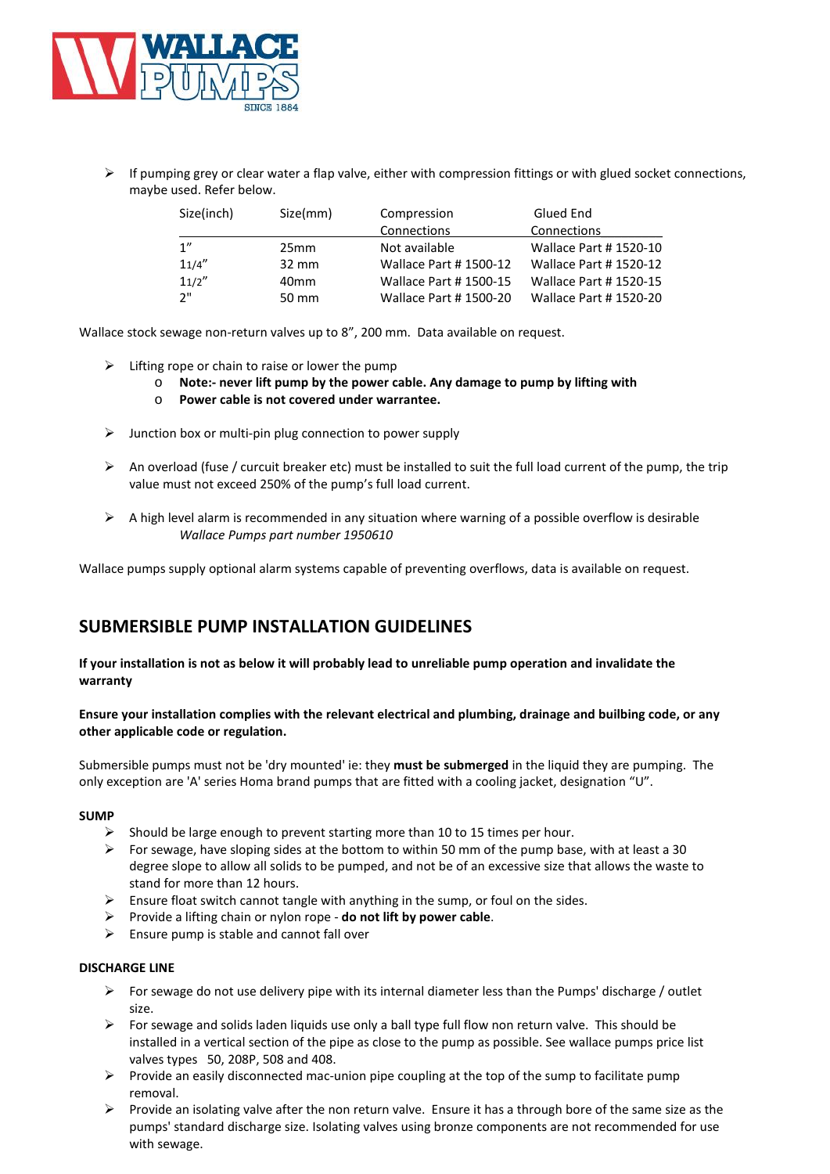

 $\triangleright$  If pumping grey or clear water a flap valve, either with compression fittings or with glued socket connections, maybe used. Refer below.

| Size(inch) | Size(mm)         | Compression                  | Glued End                    |
|------------|------------------|------------------------------|------------------------------|
|            |                  | Connections                  | Connections                  |
| 1"         | 25mm             | Not available                | <b>Wallace Part #1520-10</b> |
| 11/4''     | $32 \text{ mm}$  | <b>Wallace Part #1500-12</b> | <b>Wallace Part #1520-12</b> |
| 11/2''     | 40 <sub>mm</sub> | <b>Wallace Part #1500-15</b> | <b>Wallace Part #1520-15</b> |
| יי כ       | 50 mm            | <b>Wallace Part #1500-20</b> | <b>Wallace Part #1520-20</b> |

Wallace stock sewage non-return valves up to 8", 200 mm. Data available on request.

- $\triangleright$  Lifting rope or chain to raise or lower the pump
	- o **Note:- never lift pump by the power cable. Any damage to pump by lifting with**
	- o **Power cable is not covered under warrantee.**
- $\triangleright$  Junction box or multi-pin plug connection to power supply
- An overload (fuse / curcuit breaker etc) must be installed to suit the full load current of the pump, the trip value must not exceed 250% of the pump's full load current.
- $\triangleright$  A high level alarm is recommended in any situation where warning of a possible overflow is desirable *Wallace Pumps part number 1950610*

Wallace pumps supply optional alarm systems capable of preventing overflows, data is available on request.

# **SUBMERSIBLE PUMP INSTALLATION GUIDELINES**

**If your installation is not as below it will probably lead to unreliable pump operation and invalidate the warranty**

### **Ensure your installation complies with the relevant electrical and plumbing, drainage and builbing code, or any other applicable code or regulation.**

Submersible pumps must not be 'dry mounted' ie: they **must be submerged** in the liquid they are pumping. The only exception are 'A' series Homa brand pumps that are fitted with a cooling jacket, designation "U".

#### **SUMP**

- $\triangleright$  Should be large enough to prevent starting more than 10 to 15 times per hour.
- For sewage, have sloping sides at the bottom to within 50 mm of the pump base, with at least a 30 degree slope to allow all solids to be pumped, and not be of an excessive size that allows the waste to stand for more than 12 hours.
- $\triangleright$  Ensure float switch cannot tangle with anything in the sump, or foul on the sides.
- Provide a lifting chain or nylon rope **do not lift by power cable**.
- $\triangleright$  Ensure pump is stable and cannot fall over

#### **DISCHARGE LINE**

- For sewage do not use delivery pipe with its internal diameter less than the Pumps' discharge / outlet size.
- $\triangleright$  For sewage and solids laden liquids use only a ball type full flow non return valve. This should be installed in a vertical section of the pipe as close to the pump as possible. See wallace pumps price list valves types 50, 208P, 508 and 408.
- $\triangleright$  Provide an easily disconnected mac-union pipe coupling at the top of the sump to facilitate pump removal.
- $\triangleright$  Provide an isolating valve after the non return valve. Ensure it has a through bore of the same size as the pumps' standard discharge size. Isolating valves using bronze components are not recommended for use with sewage.